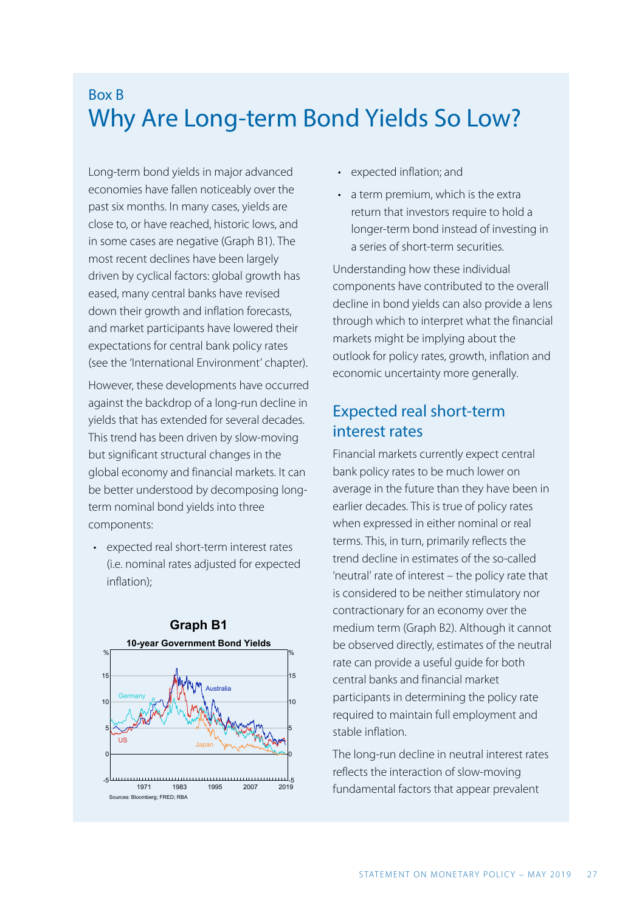# Box B Why Are Long-term Bond Yields So Low?

Long-term bond yields in major advanced economies have fallen noticeably over the past six months. In many cases, yields are close to, or have reached, historic lows, and in some cases are negative (Graph B1). The most recent declines have been largely driven by cyclical factors: global growth has eased, many central banks have revised down their growth and inflation forecasts, and market participants have lowered their expectations for central bank policy rates (see the 'International Environment' chapter).

However, these developments have occurred against the backdrop of a long-run decline in yields that has extended for several decades. This trend has been driven by slow-moving but significant structural changes in the global economy and financial markets. It can be better understood by decomposing longterm nominal bond yields into three components:

• expected real short-term interest rates (i.e. nominal rates adjusted for expected inflation);



- expected inflation; and
- a term premium, which is the extra return that investors require to hold a longer-term bond instead of investing in a series of short-term securities.

Understanding how these individual components have contributed to the overall decline in bond yields can also provide a lens through which to interpret what the financial markets might be implying about the outlook for policy rates, growth, inflation and economic uncertainty more generally.

## Expected real short-term interest rates

Financial markets currently expect central bank policy rates to be much lower on average in the future than they have been in earlier decades. This is true of policy rates when expressed in either nominal or real terms. This, in turn, primarily reflects the trend decline in estimates of the so-called 'neutral' rate of interest – the policy rate that is considered to be neither stimulatory nor contractionary for an economy over the medium term (Graph B2). Although it cannot be observed directly, estimates of the neutral rate can provide a useful guide for both central banks and financial market participants in determining the policy rate required to maintain full employment and stable inflation.

The long-run decline in neutral interest rates reflects the interaction of slow-moving fundamental factors that appear prevalent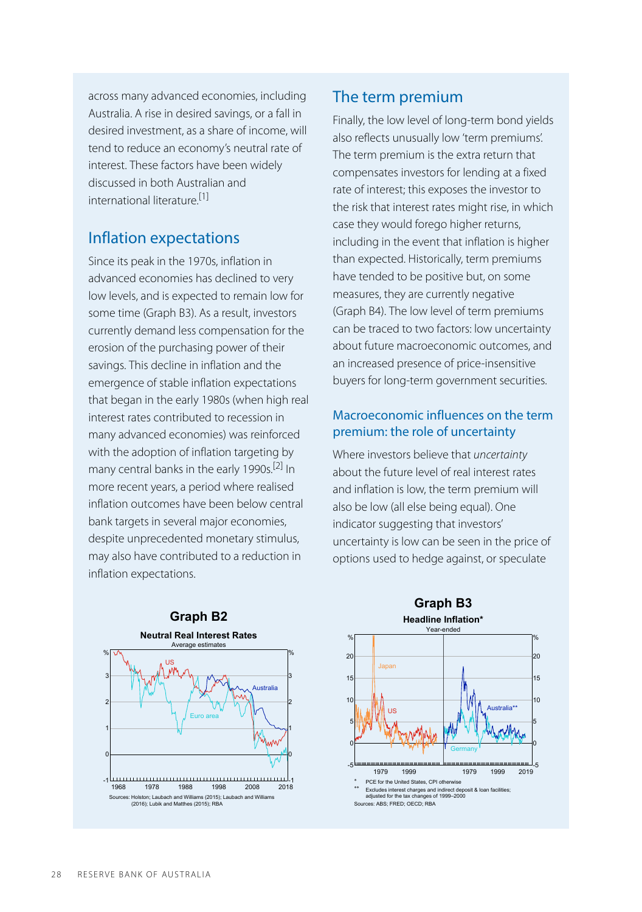across many advanced economies, including Australia. A rise in desired savings, or a fall in desired investment, as a share of income, will tend to reduce an economy's neutral rate of interest. These factors have been widely discussed in both Australian and international literature. [1]

### Inflation expectations

Since its peak in the 1970s, inflation in advanced economies has declined to very low levels, and is expected to remain low for some time (Graph B3). As a result, investors currently demand less compensation for the erosion of the purchasing power of their savings. This decline in inflation and the emergence of stable inflation expectations that began in the early 1980s (when high real interest rates contributed to recession in many advanced economies) was reinforced with the adoption of inflation targeting by many central banks in the early 1990s. [2] In more recent years, a period where realised inflation outcomes have been below central bank targets in several major economies, despite unprecedented monetary stimulus, may also have contributed to a reduction in inflation expectations.

# The term premium

Finally, the low level of long-term bond yields also reflects unusually low 'term premiums'. The term premium is the extra return that compensates investors for lending at a fixed rate of interest; this exposes the investor to the risk that interest rates might rise, in which case they would forego higher returns, including in the event that inflation is higher than expected. Historically, term premiums have tended to be positive but, on some measures, they are currently negative (Graph B4). The low level of term premiums can be traced to two factors: low uncertainty about future macroeconomic outcomes, and an increased presence of price-insensitive buyers for long-term government securities.

### Macroeconomic influences on the term premium: the role of uncertainty

Where investors believe that *uncertainty*  about the future level of real interest rates and inflation is low, the term premium will also be low (all else being equal). One indicator suggesting that investors' uncertainty is low can be seen in the price of options used to hedge against, or speculate



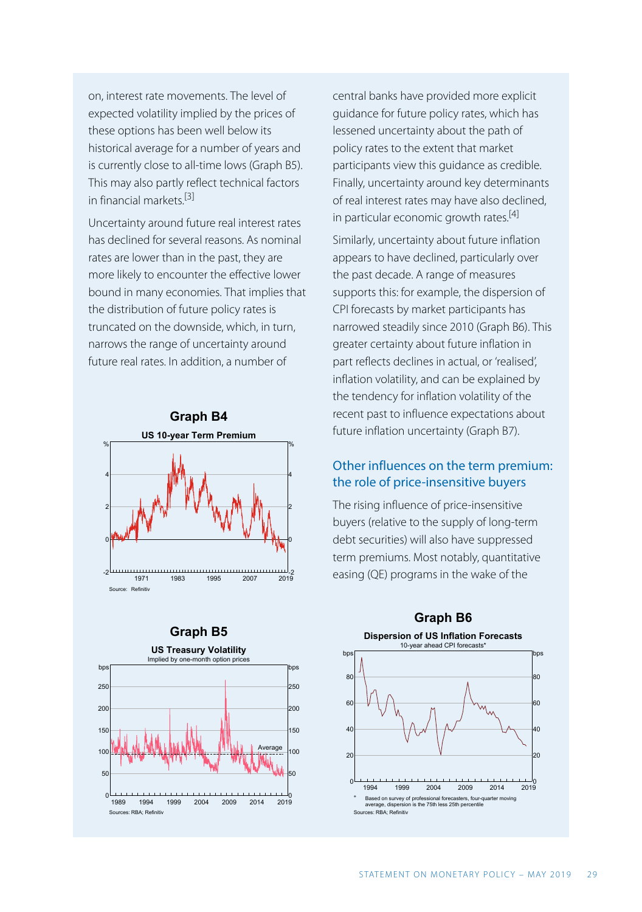on, interest rate movements. The level of expected volatility implied by the prices of these options has been well below its historical average for a number of years and is currently close to all-time lows (Graph B5). This may also partly reflect technical factors in financial markets. [3]

Uncertainty around future real interest rates has declined for several reasons. As nominal rates are lower than in the past, they are more likely to encounter the effective lower bound in many economies. That implies that the distribution of future policy rates is truncated on the downside, which, in turn, narrows the range of uncertainty around future real rates. In addition, a number of



#### **Graph B5**



central banks have provided more explicit guidance for future policy rates, which has lessened uncertainty about the path of policy rates to the extent that market participants view this guidance as credible. Finally, uncertainty around key determinants of real interest rates may have also declined, in particular economic growth rates.<sup>[4]</sup>

Similarly, uncertainty about future inflation appears to have declined, particularly over the past decade. A range of measures supports this: for example, the dispersion of CPI forecasts by market participants has narrowed steadily since 2010 (Graph B6). This greater certainty about future inflation in part reflects declines in actual, or 'realised', inflation volatility, and can be explained by the tendency for inflation volatility of the recent past to influence expectations about future inflation uncertainty (Graph B7).

#### Other influences on the term premium: the role of price-insensitive buyers

The rising influence of price-insensitive buyers (relative to the supply of long-term debt securities) will also have suppressed term premiums. Most notably, quantitative easing (QE) programs in the wake of the

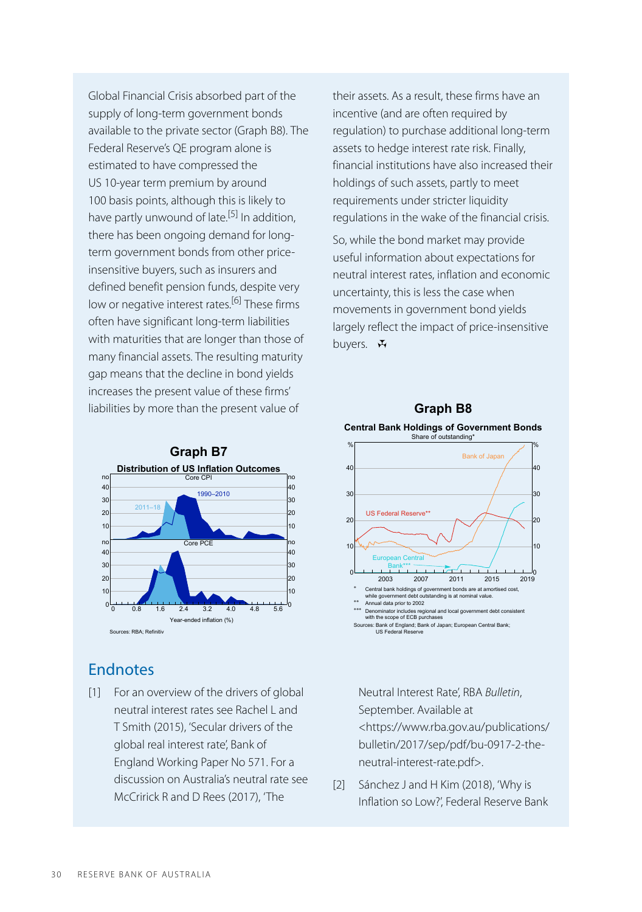Global Financial Crisis absorbed part of the supply of long-term government bonds available to the private sector (Graph B8). The Federal Reserve's QE program alone is estimated to have compressed the US 10-year term premium by around 100 basis points, although this is likely to have partly unwound of late.<sup>[5]</sup> In addition, there has been ongoing demand for longterm government bonds from other priceinsensitive buyers, such as insurers and defined benefit pension funds, despite very low or negative interest rates.<sup>[6]</sup> These firms often have significant long-term liabilities with maturities that are longer than those of many financial assets. The resulting maturity gap means that the decline in bond yields increases the present value of these firms' liabilities by more than the present value of



## Endnotes

[1] For an overview of the drivers of global Neutral Interest Rate', RBA *Bulletin*, neutral interest rates see Rachel L and T Smith (2015), 'Secular drivers of the global real interest rate', Bank of England Working Paper No 571. For a discussion on Australia's neutral rate see McCririck R and D Rees (2017), 'The

their assets. As a result, these firms have an incentive (and are often required by regulation) to purchase additional long-term assets to hedge interest rate risk. Finally, financial institutions have also increased their holdings of such assets, partly to meet requirements under stricter liquidity regulations in the wake of the financial crisis.

So, while the bond market may provide useful information about expectations for neutral interest rates, inflation and economic uncertainty, this is less the case when movements in government bond yields largely reflect the impact of price-insensitive buyers.  $\mathbf{\ddot{w}}$ 

### **Graph B8**



September. Available at <https://www.rba.gov.au/publications/ bulletin/2017/sep/pdf/bu-0917-2-theneutral-interest-rate.pdf>.

Sánchez J and H Kim (2018), 'Why is Inflation so Low?', Federal Reserve Bank [2]